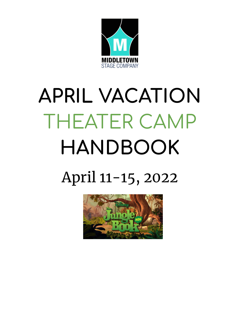

# **APRIL VACATION** THEATER CAMP **HANDBOOK** April 11-15, 2022

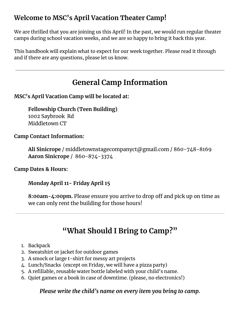## **Welcome to MSC's April Vacation Theater Camp!**

We are thrilled that you are joining us this April! In the past, we would run regular theater camps during school vacation weeks, and we are so happy to bring it back this year.

This handbook will explain what to expect for our week together. Please read it through and if there are any questions, please let us know.

## **General Camp Information**

#### **MSC's April Vacation Camp will be located at:**

**Fellowship Church (Teen Building)** 1002 Saybrook Rd Middletown CT

#### **Camp Contact Information:**

**Ali Sinicrope** / middletownstagecompanyct@gmail.com / 860-748-8169 **Aaron Sinicrope** / 860-874-3374

**Camp Dates & Hours:**

**Monday April 11- Friday April 15**

8:00am-4:00pm. Please ensure you arrive to drop off and pick up on time as we can only rent the building for those hours!

## **"What Should I Bring to Camp?"**

- 1. Backpack
- 2. Sweatshirt or jacket for outdoor games
- 3. A smock or large t-shirt for messy art projects
- 4. Lunch/Snacks (except on Friday, we will have a pizza party)
- 5. A refillable, reusable water bottle labeled with your child's name.
- 6. Quiet games or a book in case of downtime. (please, no electronics!)

#### *Please write the child's name on every item you bring to camp.*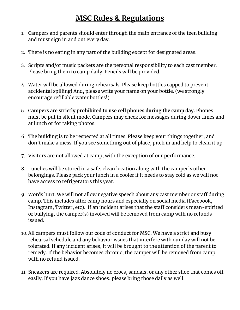## **MSC Rules & Regulations**

- 1. Campers and parents should enter through the main entrance of the teen building and must sign in and out every day.
- 2. There is no eating in any part of the building except for designated areas.
- 3. Scripts and/or music packets are the personal responsibility to each cast member. Please bring them to camp daily. Pencils will be provided.
- 4. Water will be allowed during rehearsals. Please keep bottles capped to prevent accidental spilling! And, please write your name on your bottle. (we strongly encourage refillable water bottles!)
- 5. **Campers are strictly prohibited to use cell phones during the camp day.** Phones must be put in silent mode. Campers may check for messages during down times and at lunch or for taking photos.
- 6. The building is to be respected at all times. Please keep your things together, and don't make a mess. If you see something out of place, pitch in and help to clean it up.
- 7. Visitors are not allowed at camp, with the exception of our performance.
- 8. Lunches will be stored in a safe, clean location along with the camper's other belongings. Please pack your lunch in a cooler if it needs to stay cold as we will not have access to refrigerators this year.
- 9. Words hurt. We will not allow negative speech about any cast member or staff during camp. This includes after camp hours and especially on social media (Facebook, Instagram, Twitter, etc). If an incident arises that the staff considers mean-spirited or bullying, the camper(s) involved will be removed from camp with no refunds issued.
- 10.All campers must follow our code of conduct for MSC. We have a strict and busy rehearsal schedule and any behavior issues that interfere with our day will not be tolerated. If any incident arises, it will be brought to the attention of the parent to remedy. If the behavior becomes chronic, the camper will be removed from camp with no refund issued.
- 11. Sneakers are required. Absolutely no crocs, sandals, or any other shoe that comes o easily. If you have jazz dance shoes, please bring those daily as well.